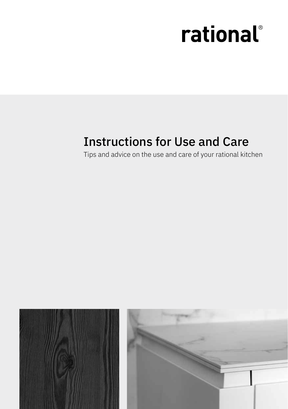# rational®

# Instructions for Use and Care

Tips and advice on the use and care of your rational kitchen

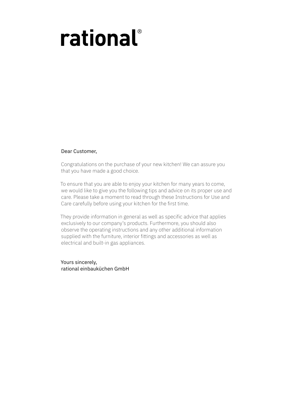# rational®

#### Dear Customer,

Congratulations on the purchase of your new kitchen! We can assure you that you have made a good choice.

To ensure that you are able to enjoy your kitchen for many years to come, we would like to give you the following tips and advice on its proper use and care. Please take a moment to read through these Instructions for Use and Care carefully before using your kitchen for the first time.

They provide information in general as well as specific advice that applies exclusively to our company's products. Furthermore, you should also observe the operating instructions and any other additional information supplied with the furniture, interior fittings and accessories as well as electrical and built-in gas appliances.

Yours sincerely, rational einbauküchen GmbH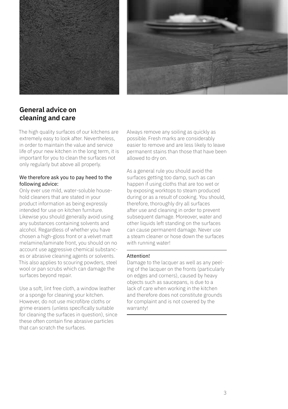



# **General advice on cleaning and care**

The high quality surfaces of our kitchens are extremely easy to look after. Nevertheless, in order to maintain the value and service life of your new kitchen in the long term, it is important for you to clean the surfaces not only regularly but above all properly.

#### We therefore ask you to pay heed to the following advice:

Only ever use mild, water-soluble household cleaners that are stated in your product information as being expressly intended for use on kitchen furniture. Likewise you should generally avoid using any substances containing solvents and alcohol. Regardless of whether you have chosen a high-gloss front or a velvet matt melamine/laminate front, you should on no account use aggressive chemical substances or abrasive cleaning agents or solvents. This also applies to scouring powders, steel wool or pan scrubs which can damage the surfaces beyond repair.

Use a soft, lint free cloth, a window leather or a sponge for cleaning your kitchen. However, do not use microfibre cloths or grime erasers (unless specifically suitable for cleaning the surfaces in question), since these often contain fine abrasive particles that can scratch the surfaces.

Always remove any soiling as quickly as possible. Fresh marks are considerably easier to remove and are less likely to leave permanent stains than those that have been allowed to dry on.

As a general rule you should avoid the surfaces getting too damp, such as can happen if using cloths that are too wet or by exposing worktops to steam produced during or as a result of cooking. You should, therefore, thoroughly dry all surfaces after use and cleaning in order to prevent subsequent damage. Moreover, water and other liquids left standing on the surfaces can cause permanent damage. Never use a steam cleaner or hose down the surfaces with running water!

#### Attention!

Damage to the lacquer as well as any peeling of the lacquer on the fronts (particularly on edges and corners), caused by heavy objects such as saucepans, is due to a lack of care when working in the kitchen and therefore does not constitute grounds for complaint and is not covered by the warranty!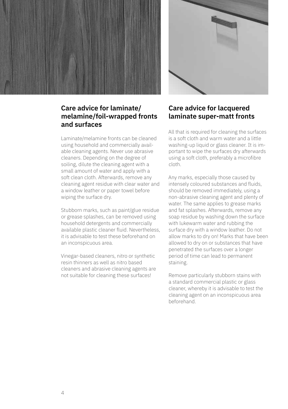



#### **Care advice for laminate/ melamine/foil-wrapped fronts and surfaces**

Laminate/melamine fronts can be cleaned using household and commercially available cleaning agents. Never use abrasive cleaners. Depending on the degree of soiling, dilute the cleaning agent with a small amount of water and apply with a soft clean cloth. Afterwards, remove any cleaning agent residue with clear water and a window leather or paper towel before wiping the surface dry.

Stubborn marks, such as paint/glue residue or grease splashes, can be removed using household detergents and commercially available plastic cleaner fluid. Nevertheless, it is advisable to test these beforehand on an inconspicuous area.

Vinegar-based cleaners, nitro or synthetic resin thinners as well as nitro based cleaners and abrasive cleaning agents are not suitable for cleaning these surfaces!

#### **Care advice for lacquered laminate super-matt fronts**

All that is required for cleaning the surfaces is a soft cloth and warm water and a little washing-up liquid or glass cleaner. It is important to wipe the surfaces dry afterwards using a soft cloth, preferably a microfibre cloth.

Any marks, especially those caused by intensely coloured substances and fluids, should be removed immediately, using a non-abrasive cleaning agent and plenty of water. The same applies to grease marks and fat splashes. Afterwards, remove any soap residue by washing down the surface with lukewarm water and rubbing the surface dry with a window leather. Do not allow marks to dry on! Marks that have been allowed to dry on or substances that have penetrated the surfaces over a longer period of time can lead to permanent staining.

Remove particularly stubborn stains with a standard commercial plastic or glass cleaner, whereby it is advisable to test the cleaning agent on an inconspicuous area beforehand.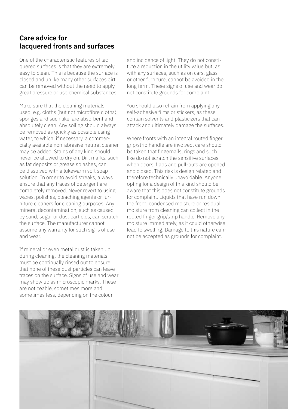## **Care advice for lacquered fronts and surfaces**

One of the characteristic features of lacquered surfaces is that they are extremely easy to clean. This is because the surface is closed and unlike many other surfaces dirt can be removed without the need to apply great pressure or use chemical substances.

Make sure that the cleaning materials used, e.g. cloths (but not microfibre cloths), sponges and such like, are absorbent and absolutely clean. Any soiling should always be removed as quickly as possible using water, to which, if necessary, a commercially available non-abrasive neutral cleaner may be added. Stains of any kind should never be allowed to dry on. Dirt marks, such as fat deposits or grease splashes, can be dissolved with a lukewarm soft soap solution. In order to avoid streaks, always ensure that any traces of detergent are completely removed. Never revert to using waxes, polishes, bleaching agents or furniture cleaners for cleaning purposes. Any mineral decontamination, such as caused by sand, sugar or dust particles, can scratch the surface. The manufacturer cannot assume any warranty for such signs of use and wear.

If mineral or even metal dust is taken up during cleaning, the cleaning materials must be continually rinsed out to ensure that none of these dust particles can leave traces on the surface. Signs of use and wear may show up as microscopic marks. These are noticeable, sometimes more and sometimes less, depending on the colour

and incidence of light. They do not constitute a reduction in the utility value but, as with any surfaces, such as on cars, glass or other furniture, cannot be avoided in the long term. These signs of use and wear do not constitute grounds for complaint.

You should also refrain from applying any self-adhesive films or stickers, as these contain solvents and plasticizers that can attack and ultimately damage the surfaces.

Where fronts with an integral routed finger grip/strip handle are involved, care should be taken that fingernails, rings and such like do not scratch the sensitive surfaces when doors, flaps and pull-outs are opened and closed. This risk is design related and therefore technically unavoidable. Anyone opting for a design of this kind should be aware that this does not constitute grounds for complaint. Liquids that have run down the front, condensed moisture or residual moisture from cleaning can collect in the routed finger grip/strip handle. Remove any moisture immediately, as it could otherwise lead to swelling. Damage to this nature cannot be accepted as grounds for complaint.

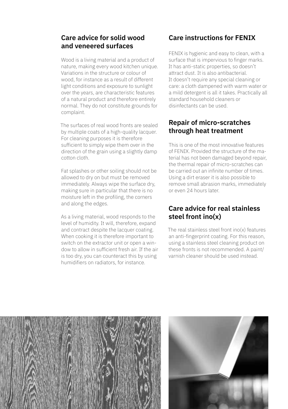#### **Care advice for solid wood and veneered surfaces**

Wood is a living material and a product of nature, making every wood kitchen unique. Variations in the structure or colour of wood, for instance as a result of different light conditions and exposure to sunlight over the years, are characteristic features of a natural product and therefore entirely normal. They do not constitute grounds for complaint.

The surfaces of real wood fronts are sealed by multiple coats of a high-quality lacquer. For cleaning purposes it is therefore sufficient to simply wipe them over in the direction of the grain using a slightly damp cotton cloth.

Fat splashes or other soiling should not be allowed to dry on but must be removed immediately. Always wipe the surface dry, making sure in particular that there is no moisture left in the profiling, the corners and along the edges.

As a living material, wood responds to the level of humidity. It will, therefore, expand and contract despite the lacquer coating. When cooking it is therefore important to switch on the extractor unit or open a window to allow in sufficient fresh air. If the air is too dry, you can counteract this by using humidifiers on radiators, for instance.

# **Care instructions for FENIX**

FENIX is hygienic and easy to clean, with a surface that is impervious to finger marks. It has anti-static properties, so doesn't attract dust. It is also antibacterial. It doesn't require any special cleaning or care: a cloth dampened with warm water or a mild detergent is all it takes. Practically all standard household cleaners or disinfectants can be used.

#### **Repair of micro-scratches through heat treatment**

This is one of the most innovative features of FENIX. Provided the structure of the material has not been damaged beyond repair, the thermal repair of micro-scratches can be carried out an infinite number of times. Using a dirt eraser it is also possible to remove small abrasion marks, immediately or even 24 hours later.

#### **Care advice for real stainless steel front ino(x)**

The real stainless steel front ino(x) features an anti-fingerprint coating. For this reason, using a stainless steel cleaning product on these fronts is not recommended. A paint/ varnish cleaner should be used instead.



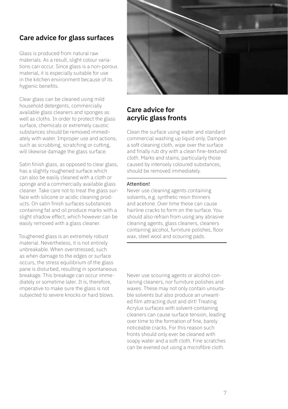## **Care advice for glass surfaces**

Glass is produced from natural raw materials. As a result, slight colour variations can occur. Since glass is a non-porous material, it is especially suitable for use in the kitchen environment because of its hygienic benefits.

Clear glass can be cleaned using mild household detergents, commercially available glass cleaners and sponges as well as cloths. In order to protect the glass surface, chemicals or extremely caustic substances should be removed immediately with water. Improper use and actions, such as scrubbing, scratching or cutting, will likewise damage the glass surface.

Satin finish glass, as opposed to clear glass, has a slightly roughened surface which can also be easily cleaned with a cloth or sponge and a commercially available glass cleaner. Take care not to treat the glass surface with silicone or acidic cleaning products. On satin finish surfaces substances containing fat and oil produce marks with a slight shadow effect, which however can be easily removed with a glass cleaner.

Toughened glass is an extremely robust material. Nevertheless, it is not entirely unbreakable. When overstressed, such as when damage to the edges or surface occurs, the stress equilibrium of the glass pane is disturbed, resulting in spontaneous breakage. This breakage can occur immediately or sometime later. It is, therefore, imperative to make sure the glass is not subjected to severe knocks or hard blows.



#### **Care advice for acrylic glass fronts**

Clean the surface using water and standard commercial washing up liquid only. Dampen a soft cleaning cloth, wipe over the surface and finally rub dry with a clean fine-textured cloth. Marks and stains, particularly those caused by intensely coloured substances, should be removed immediately.

#### Attention!

Never use cleaning agents containing solvents, e.g. synthetic resin thinners and acetone. Over time these can cause hairline cracks to form on the surface. You should also refrain from using any abrasive cleaning agents, glass cleaners, cleaners containing alcohol, furniture polishes, floor wax, steel wool and scouring pads.

Never use scouring agents or alcohol containing cleaners, nor furniture polishes and waxes. These may not only contain unsuitable solvents but also produce an unwanted film attracting dust and dirt! Treating Acrylux surfaces with solvent-containing cleaners can cause surface tension, leading over time to the formation of fine, barely noticeable cracks. For this reason such fronts should only ever be cleaned with soapy water and a soft cloth. Fine scratches can be evened out using a microfibre cloth.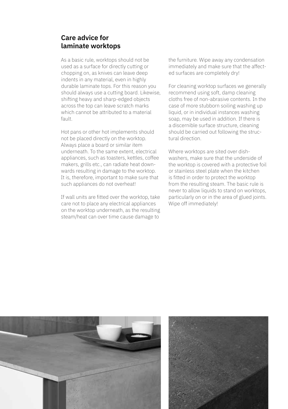#### **Care advice for laminate worktops**

As a basic rule, worktops should not be used as a surface for directly cutting or chopping on, as knives can leave deep indents in any material, even in highly durable laminate tops. For this reason you should always use a cutting board. Likewise, shifting heavy and sharp-edged objects across the top can leave scratch marks which cannot be attributed to a material fault.

Hot pans or other hot implements should not be placed directly on the worktop. Always place a board or similar item underneath. To the same extent, electrical appliances, such as toasters, kettles, coffee makers, grills etc., can radiate heat downwards resulting in damage to the worktop. It is, therefore, important to make sure that such appliances do not overheat!

If wall units are fitted over the worktop, take care not to place any electrical appliances on the worktop underneath, as the resulting steam/heat can over time cause damage to

the furniture. Wipe away any condensation immediately and make sure that the affected surfaces are completely dry!

For cleaning worktop surfaces we generally recommend using soft, damp cleaning cloths free of non-abrasive contents. In the case of more stubborn soiling washing up liquid, or in individual instances washing soap, may be used in addition. If there is a discernible surface structure, cleaning should be carried out following the structural direction.

Where worktops are sited over dishwashers, make sure that the underside of the worktop is covered with a protective foil or stainless steel plate when the kitchen is fitted in order to protect the worktop from the resulting steam. The basic rule is never to allow liquids to stand on worktops. particularly on or in the area of glued joints. Wipe off immediately!

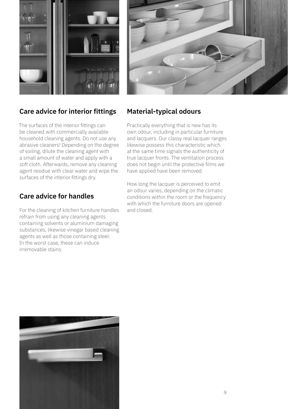



#### **Care advice for interior fittings**

The surfaces of the interior fittings can be cleaned with commercially available household cleaning agents. Do not use any abrasive cleaners! Depending on the degree of soiling, dilute the cleaning agent with a small amount of water and apply with a soft cloth. Afterwards, remove any cleaning agent residue with clear water and wipe the surfaces of the interior fittings dry.

### **Care advice for handles**

For the cleaning of kitchen furniture handles refrain from using any cleaning agents containing solvents or aluminium damaging substances, likewise vinegar based cleaning agents as well as those containing steel. In the worst case, these can induce irremovable stains.

### **Material-typical odours**

Practically everything that is new has its own odour, including in particular furniture and lacquers. Our classy real lacquer ranges likewise possess this characteristic which at the same time signals the authenticity of true lacquer fronts. The ventilation process does not begin until the protective films we have applied have been removed.

How long the lacquer is perceived to emit an odour varies, depending on the climatic conditions within the room or the frequency with which the furniture doors are opened and closed.

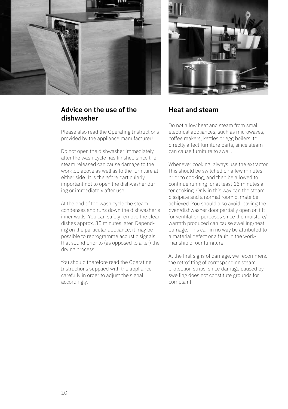

### **Advice on the use of the dishwasher**

Please also read the Operating Instructions provided by the appliance manufacturer!

Do not open the dishwasher immediately after the wash cycle has finished since the steam released can cause damage to the worktop above as well as to the furniture at either side. It is therefore particularly important not to open the dishwasher during or immediately after use.

At the end of the wash cycle the steam condenses and runs down the dishwasher's inner walls. You can safely remove the clean dishes approx. 30 minutes later. Depending on the particular appliance, it may be possible to reprogramme acoustic signals that sound prior to (as opposed to after) the drving process.

You should therefore read the Operating Instructions supplied with the appliance carefully in order to adjust the signal accordingly.



#### **Heat and steam**

Do not allow heat and steam from small electrical appliances, such as microwaves, coffee makers, kettles or egg boilers, to directly affect furniture parts, since steam can cause furniture to swell.

Whenever cooking, always use the extractor. This should be switched on a few minutes prior to cooking, and then be allowed to continue running for at least 15 minutes after cooking. Only in this way can the steam dissipate and a normal room climate be achieved. You should also avoid leaving the oven/dishwasher door partially open on tilt for ventilation purposes since the moisture/ warmth produced can cause swelling/heat damage. This can in no way be attributed to a material defect or a fault in the workmanship of our furniture.

At the first signs of damage, we recommend the retrofitting of corresponding steam protection strips, since damage caused by swelling does not constitute grounds for complaint.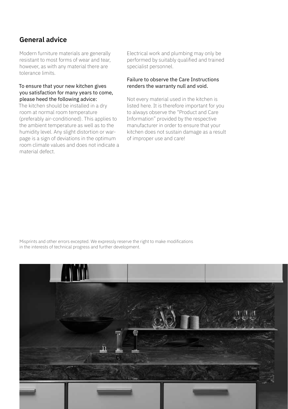### **General advice**

Modern furniture materials are generally resistant to most forms of wear and tear, however, as with any material there are tolerance limits.

#### To ensure that your new kitchen gives you satisfaction for many years to come, please heed the following advice:

The kitchen should be installed in a dry room at normal room temperature (preferably air-conditioned). This applies to the ambient temperature as well as to the humidity level. Any slight distortion or warpage is a sign of deviations in the optimum room climate values and does not indicate a material defect.

Electrical work and plumbing may only be performed by suitably qualified and trained specialist personnel.

#### Failure to observe the Care Instructions renders the warranty null and void.

Not every material used in the kitchen is listed here. It is therefore important for you to always observe the "Product and Care Information" provided by the respective manufacturer in order to ensure that your kitchen does not sustain damage as a result of improper use and care!

Misprints and other errors excepted. We expressly reserve the right to make modifications in the interests of technical progress and further development.